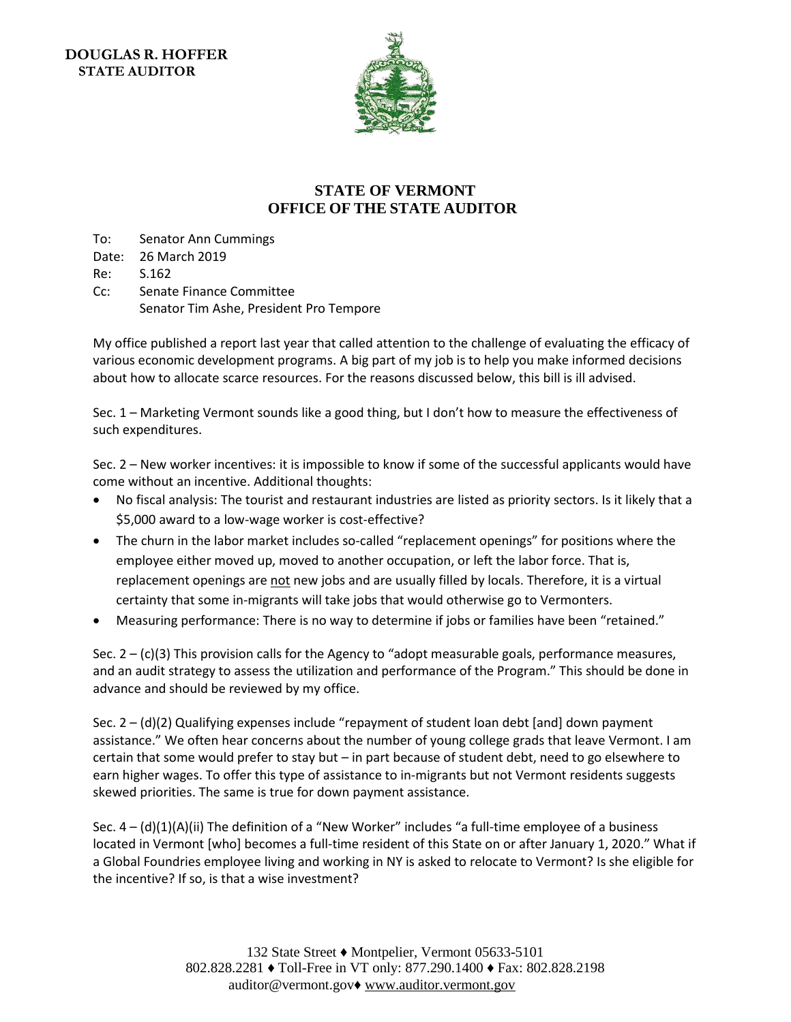**DOUGLAS R. HOFFER STATE AUDITOR** 



## **STATE OF VERMONT OFFICE OF THE STATE AUDITOR**

To: Senator Ann Cummings Date: 26 March 2019 Re: S.162

Cc: Senate Finance Committee Senator Tim Ashe, President Pro Tempore

My office published a report last year that called attention to the challenge of evaluating the efficacy of various economic development programs. A big part of my job is to help you make informed decisions about how to allocate scarce resources. For the reasons discussed below, this bill is ill advised.

Sec. 1 – Marketing Vermont sounds like a good thing, but I don't how to measure the effectiveness of such expenditures.

Sec. 2 – New worker incentives: it is impossible to know if some of the successful applicants would have come without an incentive. Additional thoughts:

- No fiscal analysis: The tourist and restaurant industries are listed as priority sectors. Is it likely that a \$5,000 award to a low-wage worker is cost-effective?
- The churn in the labor market includes so-called "replacement openings" for positions where the employee either moved up, moved to another occupation, or left the labor force. That is, replacement openings are not new jobs and are usually filled by locals. Therefore, it is a virtual certainty that some in-migrants will take jobs that would otherwise go to Vermonters.
- Measuring performance: There is no way to determine if jobs or families have been "retained."

Sec.  $2 - (c)(3)$  This provision calls for the Agency to "adopt measurable goals, performance measures, and an audit strategy to assess the utilization and performance of the Program." This should be done in advance and should be reviewed by my office.

Sec. 2 – (d)(2) Qualifying expenses include "repayment of student loan debt [and] down payment assistance." We often hear concerns about the number of young college grads that leave Vermont. I am certain that some would prefer to stay but – in part because of student debt, need to go elsewhere to earn higher wages. To offer this type of assistance to in-migrants but not Vermont residents suggests skewed priorities. The same is true for down payment assistance.

Sec.  $4 - (d)(1)(A)(ii)$  The definition of a "New Worker" includes "a full-time employee of a business located in Vermont [who] becomes a full-time resident of this State on or after January 1, 2020." What if a Global Foundries employee living and working in NY is asked to relocate to Vermont? Is she eligible for the incentive? If so, is that a wise investment?